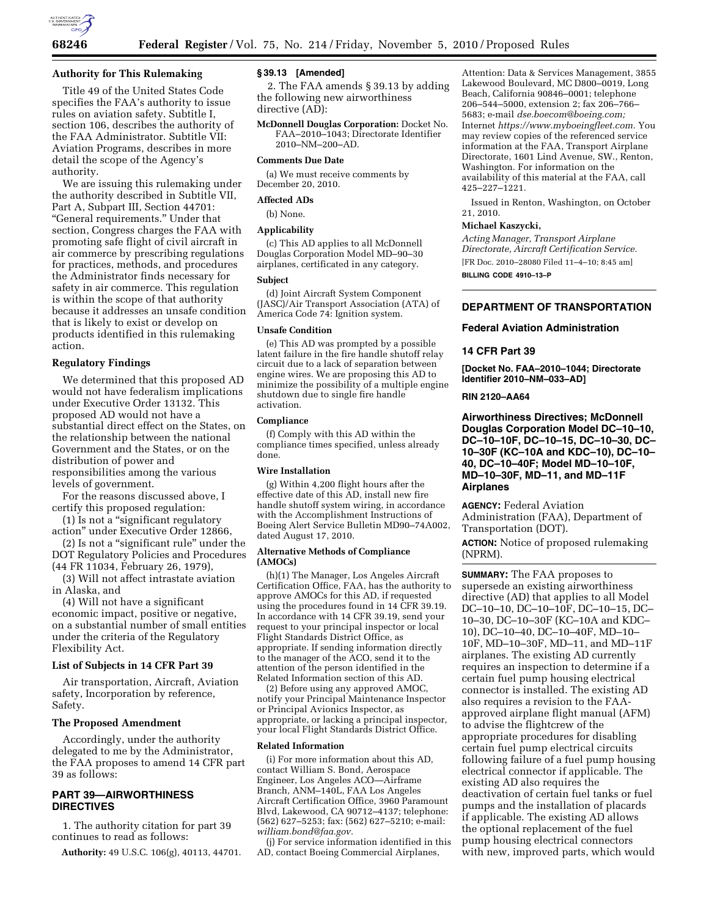### **Authority for This Rulemaking**

Title 49 of the United States Code specifies the FAA's authority to issue rules on aviation safety. Subtitle I, section 106, describes the authority of the FAA Administrator. Subtitle VII: Aviation Programs, describes in more detail the scope of the Agency's authority.

We are issuing this rulemaking under the authority described in Subtitle VII, Part A, Subpart III, Section 44701: ''General requirements.'' Under that section, Congress charges the FAA with promoting safe flight of civil aircraft in air commerce by prescribing regulations for practices, methods, and procedures the Administrator finds necessary for safety in air commerce. This regulation is within the scope of that authority because it addresses an unsafe condition that is likely to exist or develop on products identified in this rulemaking action.

## **Regulatory Findings**

We determined that this proposed AD would not have federalism implications under Executive Order 13132. This proposed AD would not have a substantial direct effect on the States, on the relationship between the national Government and the States, or on the distribution of power and responsibilities among the various levels of government.

For the reasons discussed above, I certify this proposed regulation:

(1) Is not a ''significant regulatory action'' under Executive Order 12866,

(2) Is not a ''significant rule'' under the DOT Regulatory Policies and Procedures (44 FR 11034, February 26, 1979),

(3) Will not affect intrastate aviation in Alaska, and

(4) Will not have a significant economic impact, positive or negative, on a substantial number of small entities under the criteria of the Regulatory Flexibility Act.

### **List of Subjects in 14 CFR Part 39**

Air transportation, Aircraft, Aviation safety, Incorporation by reference, Safety.

### **The Proposed Amendment**

Accordingly, under the authority delegated to me by the Administrator, the FAA proposes to amend 14 CFR part 39 as follows:

## **PART 39—AIRWORTHINESS DIRECTIVES**

1. The authority citation for part 39 continues to read as follows:

**Authority:** 49 U.S.C. 106(g), 40113, 44701.

### **§ 39.13 [Amended]**

2. The FAA amends § 39.13 by adding the following new airworthiness directive (AD):

**McDonnell Douglas Corporation:** Docket No. FAA–2010–1043; Directorate Identifier 2010–NM–200–AD.

### **Comments Due Date**

(a) We must receive comments by December 20, 2010.

### **Affected ADs**

(b) None.

#### **Applicability**

(c) This AD applies to all McDonnell Douglas Corporation Model MD–90–30 airplanes, certificated in any category.

#### **Subject**

(d) Joint Aircraft System Component (JASC)/Air Transport Association (ATA) of America Code 74: Ignition system.

#### **Unsafe Condition**

(e) This AD was prompted by a possible latent failure in the fire handle shutoff relay circuit due to a lack of separation between engine wires. We are proposing this AD to minimize the possibility of a multiple engine shutdown due to single fire handle activation.

### **Compliance**

(f) Comply with this AD within the compliance times specified, unless already done.

### **Wire Installation**

(g) Within 4,200 flight hours after the effective date of this AD, install new fire handle shutoff system wiring, in accordance with the Accomplishment Instructions of Boeing Alert Service Bulletin MD90–74A002, dated August 17, 2010.

### **Alternative Methods of Compliance (AMOCs)**

(h)(1) The Manager, Los Angeles Aircraft Certification Office, FAA, has the authority to approve AMOCs for this AD, if requested using the procedures found in 14 CFR 39.19. In accordance with 14 CFR 39.19, send your request to your principal inspector or local Flight Standards District Office, as appropriate. If sending information directly to the manager of the ACO, send it to the attention of the person identified in the Related Information section of this AD.

(2) Before using any approved AMOC, notify your Principal Maintenance Inspector or Principal Avionics Inspector, as appropriate, or lacking a principal inspector, your local Flight Standards District Office.

#### **Related Information**

(i) For more information about this AD, contact William S. Bond, Aerospace Engineer, Los Angeles ACO—Airframe Branch, ANM–140L, FAA Los Angeles Aircraft Certification Office, 3960 Paramount Blvd, Lakewood, CA 90712–4137; telephone: (562) 627–5253; fax: (562) 627–5210; e-mail: *[william.bond@faa.gov.](mailto:william.bond@faa.gov)* 

(j) For service information identified in this AD, contact Boeing Commercial Airplanes,

Attention: Data & Services Management, 3855 Lakewood Boulevard, MC D800–0019, Long Beach, California 90846–0001; telephone 206–544–5000, extension 2; fax 206–766– 5683; e-mail *[dse.boecom@boeing.com;](mailto:dse.boecom@boeing.com)*  Internet *[https://www.myboeingfleet.com.](https://www.myboeingfleet.com)* You may review copies of the referenced service information at the FAA, Transport Airplane Directorate, 1601 Lind Avenue, SW., Renton, Washington. For information on the availability of this material at the FAA, call 425–227–1221.

Issued in Renton, Washington, on October 21, 2010.

#### **Michael Kaszycki,**

*Acting Manager, Transport Airplane Directorate, Aircraft Certification Service.*  [FR Doc. 2010–28080 Filed 11–4–10; 8:45 am] **BILLING CODE 4910–13–P** 

## **DEPARTMENT OF TRANSPORTATION**

### **Federal Aviation Administration**

#### **14 CFR Part 39**

**[Docket No. FAA–2010–1044; Directorate Identifier 2010–NM–033–AD]** 

### **RIN 2120–AA64**

**Airworthiness Directives; McDonnell Douglas Corporation Model DC–10–10, DC–10–10F, DC–10–15, DC–10–30, DC– 10–30F (KC–10A and KDC–10), DC–10– 40, DC–10–40F; Model MD–10–10F, MD–10–30F, MD–11, and MD–11F Airplanes** 

**AGENCY:** Federal Aviation Administration (FAA), Department of Transportation (DOT).

**ACTION:** Notice of proposed rulemaking (NPRM).

**SUMMARY:** The FAA proposes to supersede an existing airworthiness directive (AD) that applies to all Model DC–10–10, DC–10–10F, DC–10–15, DC– 10–30, DC–10–30F (KC–10A and KDC– 10), DC–10–40, DC–10–40F, MD–10– 10F, MD–10–30F, MD–11, and MD–11F airplanes. The existing AD currently requires an inspection to determine if a certain fuel pump housing electrical connector is installed. The existing AD also requires a revision to the FAAapproved airplane flight manual (AFM) to advise the flightcrew of the appropriate procedures for disabling certain fuel pump electrical circuits following failure of a fuel pump housing electrical connector if applicable. The existing AD also requires the deactivation of certain fuel tanks or fuel pumps and the installation of placards if applicable. The existing AD allows the optional replacement of the fuel pump housing electrical connectors with new, improved parts, which would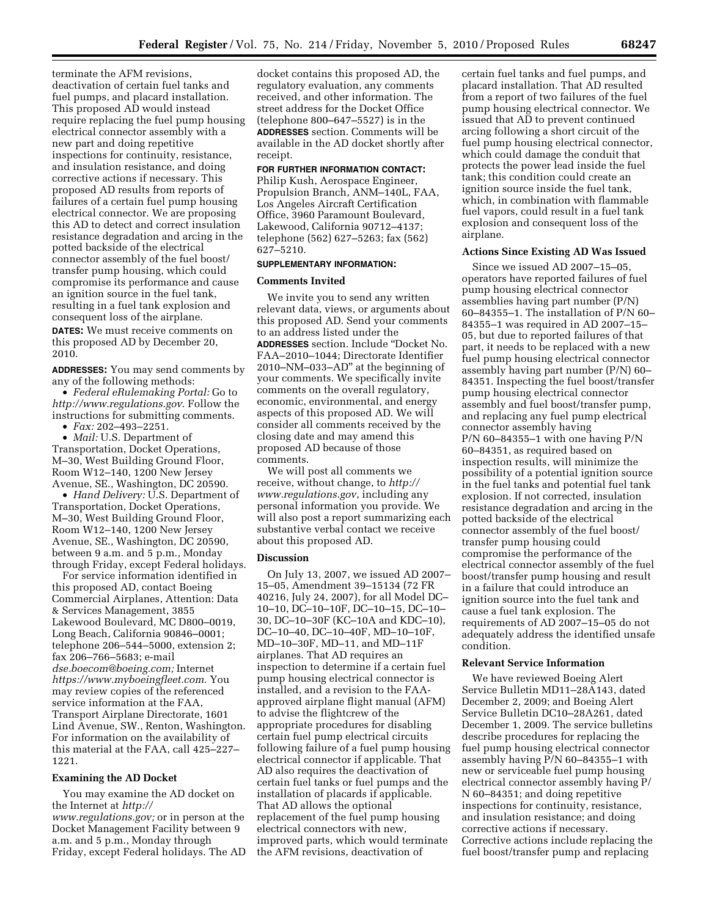terminate the AFM revisions, deactivation of certain fuel tanks and fuel pumps, and placard installation. This proposed AD would instead require replacing the fuel pump housing electrical connector assembly with a new part and doing repetitive inspections for continuity, resistance, and insulation resistance, and doing corrective actions if necessary. This proposed AD results from reports of failures of a certain fuel pump housing electrical connector. We are proposing this AD to detect and correct insulation resistance degradation and arcing in the potted backside of the electrical connector assembly of the fuel boost/ transfer pump housing, which could compromise its performance and cause an ignition source in the fuel tank, resulting in a fuel tank explosion and consequent loss of the airplane.

**DATES:** We must receive comments on this proposed AD by December 20, 2010.

**ADDRESSES:** You may send comments by any of the following methods:

• *Federal eRulemaking Portal:* Go to *<http://www.regulations.gov>*. Follow the instructions for submitting comments.

• *Fax:* 202–493–2251.

• *Mail:* U.S. Department of Transportation, Docket Operations, M–30, West Building Ground Floor, Room W12–140, 1200 New Jersey Avenue, SE., Washington, DC 20590.

• *Hand Delivery:* U.S. Department of Transportation, Docket Operations, M–30, West Building Ground Floor, Room W12–140, 1200 New Jersey Avenue, SE., Washington, DC 20590, between 9 a.m. and 5 p.m., Monday through Friday, except Federal holidays.

For service information identified in this proposed AD, contact Boeing Commercial Airplanes, Attention: Data & Services Management, 3855 Lakewood Boulevard, MC D800–0019, Long Beach, California 90846–0001; telephone 206–544–5000, extension 2; fax 206–766–5683; e-mail *[dse.boecom@boeing.com;](mailto:dse.boecom@boeing.com)* Internet *<https://www.myboeingfleet.com>*. You may review copies of the referenced service information at the FAA, Transport Airplane Directorate, 1601 Lind Avenue, SW., Renton, Washington. For information on the availability of this material at the FAA, call 425–227– 1221.

#### **Examining the AD Docket**

You may examine the AD docket on the Internet at *[http://](http://www.regulations.gov)  [www.regulations.gov;](http://www.regulations.gov)* or in person at the Docket Management Facility between 9 a.m. and 5 p.m., Monday through Friday, except Federal holidays. The AD docket contains this proposed AD, the regulatory evaluation, any comments received, and other information. The street address for the Docket Office (telephone 800–647–5527) is in the **ADDRESSES** section. Comments will be available in the AD docket shortly after receipt.

#### **FOR FURTHER INFORMATION CONTACT:**

Philip Kush, Aerospace Engineer, Propulsion Branch, ANM–140L, FAA, Los Angeles Aircraft Certification Office, 3960 Paramount Boulevard, Lakewood, California 90712–4137; telephone (562) 627–5263; fax (562) 627–5210.

### **SUPPLEMENTARY INFORMATION:**

### **Comments Invited**

We invite you to send any written relevant data, views, or arguments about this proposed AD. Send your comments to an address listed under the **ADDRESSES** section. Include ''Docket No. FAA–2010–1044; Directorate Identifier 2010–NM–033–AD'' at the beginning of your comments. We specifically invite comments on the overall regulatory, economic, environmental, and energy aspects of this proposed AD. We will consider all comments received by the closing date and may amend this proposed AD because of those comments.

We will post all comments we receive, without change, to *[http://](http://www.regulations.gov) [www.regulations.gov](http://www.regulations.gov)*, including any personal information you provide. We will also post a report summarizing each substantive verbal contact we receive about this proposed AD.

### **Discussion**

On July 13, 2007, we issued AD 2007– 15–05, Amendment 39–15134 (72 FR 40216, July 24, 2007), for all Model DC– 10–10, DC–10–10F, DC–10–15, DC–10– 30, DC–10–30F (KC–10A and KDC–10), DC–10–40, DC–10–40F, MD–10–10F, MD–10–30F, MD–11, and MD–11F airplanes. That AD requires an inspection to determine if a certain fuel pump housing electrical connector is installed, and a revision to the FAAapproved airplane flight manual (AFM) to advise the flightcrew of the appropriate procedures for disabling certain fuel pump electrical circuits following failure of a fuel pump housing electrical connector if applicable. That AD also requires the deactivation of certain fuel tanks or fuel pumps and the installation of placards if applicable. That AD allows the optional replacement of the fuel pump housing electrical connectors with new, improved parts, which would terminate the AFM revisions, deactivation of

certain fuel tanks and fuel pumps, and placard installation. That AD resulted from a report of two failures of the fuel pump housing electrical connector. We issued that AD to prevent continued arcing following a short circuit of the fuel pump housing electrical connector, which could damage the conduit that protects the power lead inside the fuel tank; this condition could create an ignition source inside the fuel tank, which, in combination with flammable fuel vapors, could result in a fuel tank explosion and consequent loss of the airplane.

### **Actions Since Existing AD Was Issued**

Since we issued AD 2007–15–05, operators have reported failures of fuel pump housing electrical connector assemblies having part number (P/N) 60–84355–1. The installation of P/N 60– 84355–1 was required in AD 2007–15– 05, but due to reported failures of that part, it needs to be replaced with a new fuel pump housing electrical connector assembly having part number (P/N) 60– 84351. Inspecting the fuel boost/transfer pump housing electrical connector assembly and fuel boost/transfer pump, and replacing any fuel pump electrical connector assembly having P/N 60–84355–1 with one having P/N 60–84351, as required based on inspection results, will minimize the possibility of a potential ignition source in the fuel tanks and potential fuel tank explosion. If not corrected, insulation resistance degradation and arcing in the potted backside of the electrical connector assembly of the fuel boost/ transfer pump housing could compromise the performance of the electrical connector assembly of the fuel boost/transfer pump housing and result in a failure that could introduce an ignition source into the fuel tank and cause a fuel tank explosion. The requirements of AD 2007–15–05 do not adequately address the identified unsafe condition.

### **Relevant Service Information**

We have reviewed Boeing Alert Service Bulletin MD11–28A143, dated December 2, 2009; and Boeing Alert Service Bulletin DC10–28A261, dated December 1, 2009. The service bulletins describe procedures for replacing the fuel pump housing electrical connector assembly having P/N 60–84355–1 with new or serviceable fuel pump housing electrical connector assembly having P/ N 60–84351; and doing repetitive inspections for continuity, resistance, and insulation resistance; and doing corrective actions if necessary. Corrective actions include replacing the fuel boost/transfer pump and replacing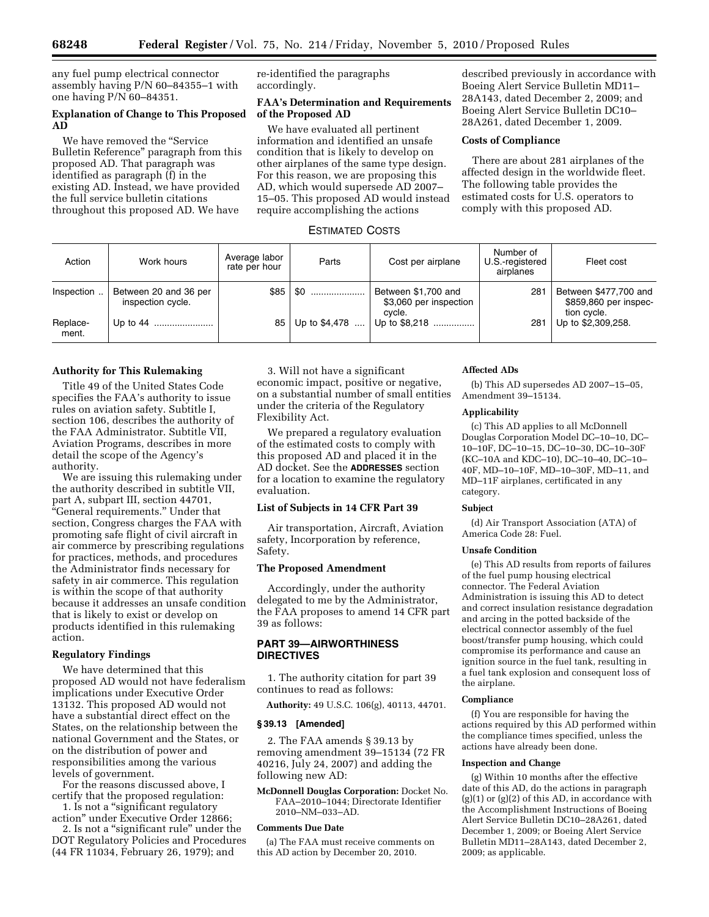any fuel pump electrical connector assembly having P/N 60–84355–1 with one having P/N 60–84351.

## **Explanation of Change to This Proposed AD**

We have removed the ''Service Bulletin Reference'' paragraph from this proposed AD. That paragraph was identified as paragraph (f) in the existing AD. Instead, we have provided the full service bulletin citations throughout this proposed AD. We have

re-identified the paragraphs accordingly.

## **FAA's Determination and Requirements of the Proposed AD**

We have evaluated all pertinent information and identified an unsafe condition that is likely to develop on other airplanes of the same type design. For this reason, we are proposing this AD, which would supersede AD 2007– 15–05. This proposed AD would instead require accomplishing the actions

described previously in accordance with Boeing Alert Service Bulletin MD11– 28A143, dated December 2, 2009; and Boeing Alert Service Bulletin DC10– 28A261, dated December 1, 2009.

## **Costs of Compliance**

There are about 281 airplanes of the affected design in the worldwide fleet. The following table provides the estimated costs for U.S. operators to comply with this proposed AD.

# ESTIMATED COSTS

| Action            | Work hours                                 | Average labor<br>rate per hour | Parts         | Cost per airplane                             | Number of<br>U.S.-registered | Fleet cost                                     |
|-------------------|--------------------------------------------|--------------------------------|---------------|-----------------------------------------------|------------------------------|------------------------------------------------|
|                   |                                            |                                |               |                                               | airplanes                    |                                                |
| Inspection        | Between 20 and 36 per<br>inspection cycle. | \$85                           | \$0           | Between \$1,700 and<br>\$3,060 per inspection | 281                          | Between \$477,700 and<br>\$859,860 per inspec- |
| Replace-<br>ment. | Up to 44                                   | 85                             | Up to \$4,478 | cvcle.<br>Up to \$8,218                       | 281                          | tion cycle.<br>Up to \$2,309,258.              |

### **Authority for This Rulemaking**

Title 49 of the United States Code specifies the FAA's authority to issue rules on aviation safety. Subtitle I, section 106, describes the authority of the FAA Administrator. Subtitle VII, Aviation Programs, describes in more detail the scope of the Agency's authority.

We are issuing this rulemaking under the authority described in subtitle VII, part A, subpart III, section 44701, ''General requirements.'' Under that section, Congress charges the FAA with promoting safe flight of civil aircraft in air commerce by prescribing regulations for practices, methods, and procedures the Administrator finds necessary for safety in air commerce. This regulation is within the scope of that authority because it addresses an unsafe condition that is likely to exist or develop on products identified in this rulemaking action.

## **Regulatory Findings**

We have determined that this proposed AD would not have federalism implications under Executive Order 13132. This proposed AD would not have a substantial direct effect on the States, on the relationship between the national Government and the States, or on the distribution of power and responsibilities among the various levels of government.

For the reasons discussed above, I certify that the proposed regulation: 1. Is not a ''significant regulatory

action'' under Executive Order 12866; 2. Is not a ''significant rule'' under the

DOT Regulatory Policies and Procedures (44 FR 11034, February 26, 1979); and

3. Will not have a significant economic impact, positive or negative, on a substantial number of small entities under the criteria of the Regulatory Flexibility Act.

We prepared a regulatory evaluation of the estimated costs to comply with this proposed AD and placed it in the AD docket. See the **ADDRESSES** section for a location to examine the regulatory evaluation.

## **List of Subjects in 14 CFR Part 39**

Air transportation, Aircraft, Aviation safety, Incorporation by reference, Safety.

### **The Proposed Amendment**

Accordingly, under the authority delegated to me by the Administrator, the FAA proposes to amend 14 CFR part 39 as follows:

## **PART 39—AIRWORTHINESS DIRECTIVES**

1. The authority citation for part 39 continues to read as follows:

**Authority:** 49 U.S.C. 106(g), 40113, 44701.

## **§ 39.13 [Amended]**

2. The FAA amends § 39.13 by removing amendment 39–15134 (72 FR 40216, July 24, 2007) and adding the following new AD:

**McDonnell Douglas Corporation:** Docket No. FAA–2010–1044; Directorate Identifier 2010–NM–033–AD.

### **Comments Due Date**

(a) The FAA must receive comments on this AD action by December 20, 2010.

### **Affected ADs**

(b) This AD supersedes AD 2007–15–05, Amendment 39–15134.

### **Applicability**

(c) This AD applies to all McDonnell Douglas Corporation Model DC–10–10, DC– 10–10F, DC–10–15, DC–10–30, DC–10–30F (KC–10A and KDC–10), DC–10–40, DC–10– 40F, MD–10–10F, MD–10–30F, MD–11, and MD–11F airplanes, certificated in any category.

### **Subject**

(d) Air Transport Association (ATA) of America Code 28: Fuel.

### **Unsafe Condition**

(e) This AD results from reports of failures of the fuel pump housing electrical connector. The Federal Aviation Administration is issuing this AD to detect and correct insulation resistance degradation and arcing in the potted backside of the electrical connector assembly of the fuel boost/transfer pump housing, which could compromise its performance and cause an ignition source in the fuel tank, resulting in a fuel tank explosion and consequent loss of the airplane.

### **Compliance**

(f) You are responsible for having the actions required by this AD performed within the compliance times specified, unless the actions have already been done.

#### **Inspection and Change**

(g) Within 10 months after the effective date of this AD, do the actions in paragraph (g)(1) or (g)(2) of this AD, in accordance with the Accomplishment Instructions of Boeing Alert Service Bulletin DC10–28A261, dated December 1, 2009; or Boeing Alert Service Bulletin MD11–28A143, dated December 2, 2009; as applicable.